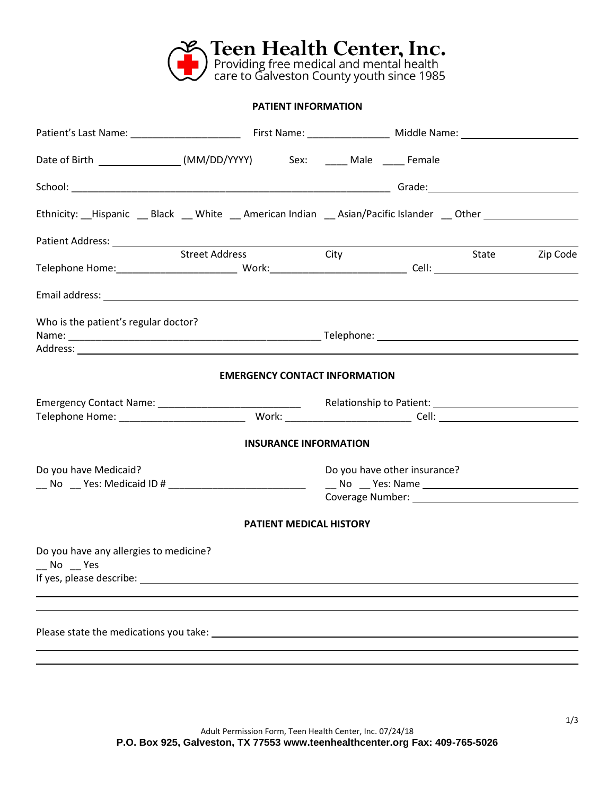

## **PATIENT INFORMATION**

| Date of Birth _________________(MM/DD/YYYY) Sex: _____ Male _____ Female             |                       |                                      |                              |                |
|--------------------------------------------------------------------------------------|-----------------------|--------------------------------------|------------------------------|----------------|
|                                                                                      |                       |                                      |                              |                |
| Ethnicity: Hispanic Black White American Indian Asian/Pacific Islander Dther         |                       |                                      |                              |                |
|                                                                                      |                       |                                      |                              |                |
|                                                                                      | <b>Street Address</b> | <b>City</b>                          |                              | State Zip Code |
|                                                                                      |                       |                                      |                              |                |
| Who is the patient's regular doctor?                                                 |                       |                                      |                              |                |
|                                                                                      |                       |                                      |                              |                |
|                                                                                      |                       | <b>EMERGENCY CONTACT INFORMATION</b> |                              |                |
|                                                                                      |                       |                                      |                              |                |
|                                                                                      |                       | <b>INSURANCE INFORMATION</b>         |                              |                |
| Do you have Medicaid?<br>__ No __ Yes: Medicaid ID # _______________________________ |                       |                                      | Do you have other insurance? |                |
|                                                                                      |                       | <b>PATIENT MEDICAL HISTORY</b>       |                              |                |
| Do you have any allergies to medicine?<br>$N$ o $Y$ es                               |                       |                                      |                              |                |
|                                                                                      |                       |                                      |                              |                |
|                                                                                      |                       |                                      |                              |                |
|                                                                                      |                       |                                      |                              |                |
|                                                                                      |                       |                                      |                              |                |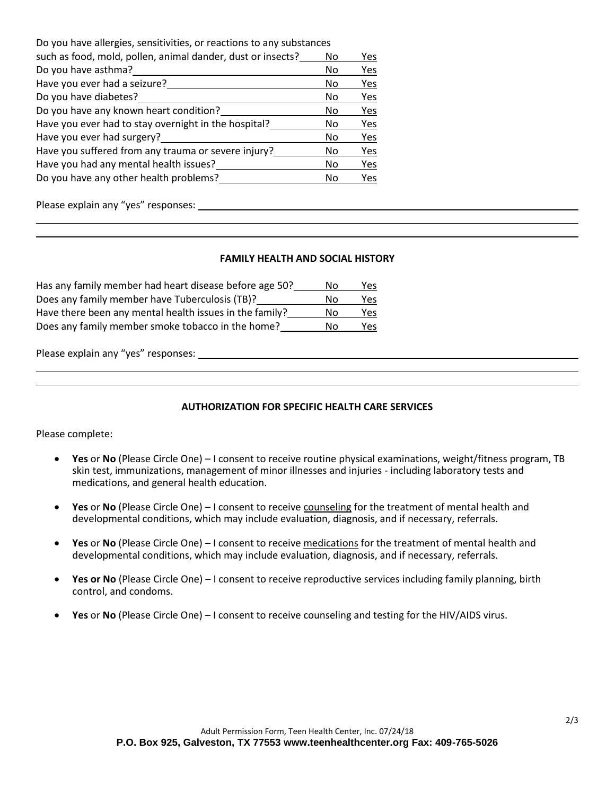| Do you have allergies, sensitivities, or reactions to any substances |    |     |
|----------------------------------------------------------------------|----|-----|
| such as food, mold, pollen, animal dander, dust or insects?          | No | Yes |
| Do you have asthma?                                                  | No | Yes |
| Have you ever had a seizure?                                         | No | Yes |
| Do you have diabetes?                                                | No | Yes |
| Do you have any known heart condition?                               | No | Yes |
| Have you ever had to stay overnight in the hospital?                 | No | Yes |
| Have you ever had surgery?                                           | No | Yes |
| Have you suffered from any trauma or severe injury?                  | No | Yes |
| Have you had any mental health issues?                               | No | Yes |
| Do you have any other health problems?                               | No | Yes |
|                                                                      |    |     |

Please explain any "yes" responses:

## **FAMILY HEALTH AND SOCIAL HISTORY**

| Has any family member had heart disease before age 50?  | Nο | Yes |
|---------------------------------------------------------|----|-----|
| Does any family member have Tuberculosis (TB)?          | Nο | Yes |
| Have there been any mental health issues in the family? | Nο | Yes |
| Does any family member smoke tobacco in the home?       | N٥ | Yes |

Please explain any "yes" responses:

## **AUTHORIZATION FOR SPECIFIC HEALTH CARE SERVICES**

Please complete:

- **Yes** or **No** (Please Circle One) I consent to receive routine physical examinations, weight/fitness program, TB skin test, immunizations, management of minor illnesses and injuries - including laboratory tests and medications, and general health education.
- **Yes** or **No** (Please Circle One) I consent to receive counseling for the treatment of mental health and developmental conditions, which may include evaluation, diagnosis, and if necessary, referrals.
- **Yes** or **No** (Please Circle One) I consent to receive medications for the treatment of mental health and developmental conditions, which may include evaluation, diagnosis, and if necessary, referrals.
- **Yes or No** (Please Circle One) I consent to receive reproductive services including family planning, birth control, and condoms.
- **Yes** or **No** (Please Circle One) I consent to receive counseling and testing for the HIV/AIDS virus.